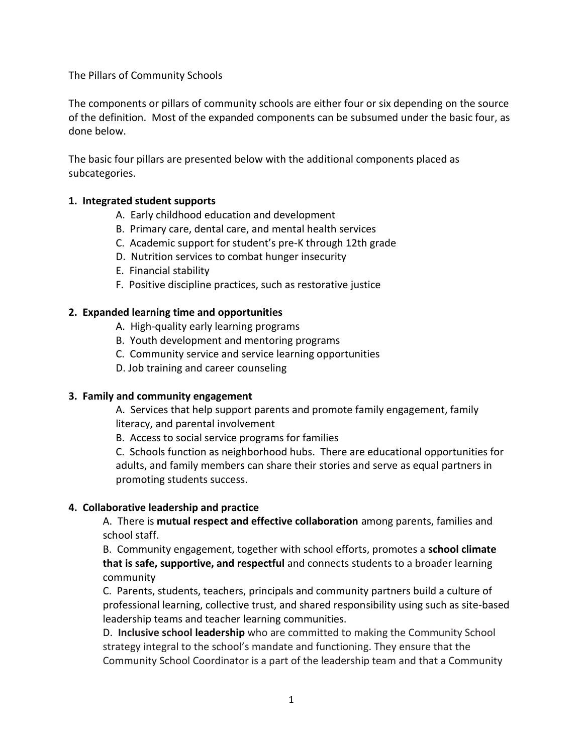The Pillars of Community Schools

The components or pillars of community schools are either four or six depending on the source of the definition. Most of the expanded components can be subsumed under the basic four, as done below.

The basic four pillars are presented below with the additional components placed as subcategories.

## **1. Integrated student supports**

- A. Early childhood education and development
- B. Primary care, dental care, and mental health services
- C. Academic support for student's pre-K through 12th grade
- D. Nutrition services to combat hunger insecurity
- E. Financial stability
- F. Positive discipline practices, such as restorative justice

## **2. Expanded learning time and opportunities**

- A. High-quality early learning programs
- B. Youth development and mentoring programs
- C. Community service and service learning opportunities
- D. Job training and career counseling

### **3. Family and community engagement**

A. Services that help support parents and promote family engagement, family literacy, and parental involvement

B. Access to social service programs for families

C. Schools function as neighborhood hubs. There are educational opportunities for adults, and family members can share their stories and serve as equal partners in promoting students success.

# **4. Collaborative leadership and practice**

A. There is **mutual respect and effective collaboration** among parents, families and school staff.

B. Community engagement, together with school efforts, promotes a **school climate that is safe, supportive, and respectful** and connects students to a broader learning community

C. Parents, students, teachers, principals and community partners build a culture of professional learning, collective trust, and shared responsibility using such as site-based leadership teams and teacher learning communities.

D. **Inclusive school leadership** who are committed to making the Community School strategy integral to the school's mandate and functioning. They ensure that the Community School Coordinator is a part of the leadership team and that a Community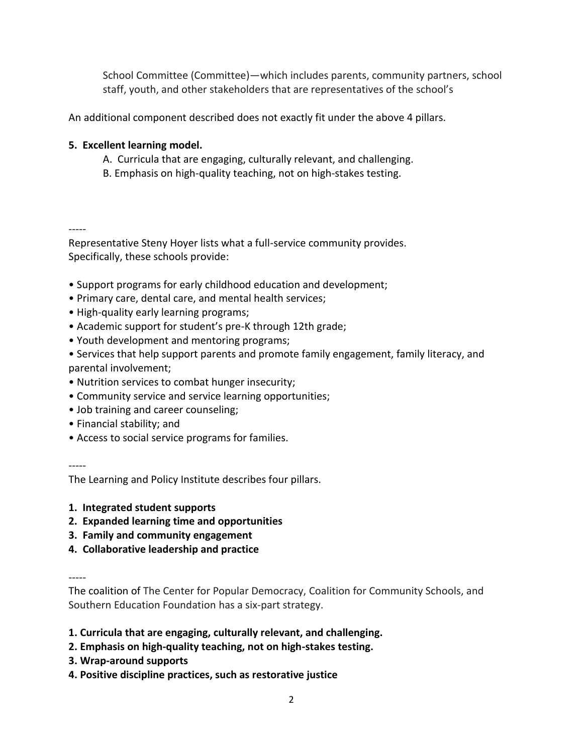School Committee (Committee)—which includes parents, community partners, school staff, youth, and other stakeholders that are representatives of the school's

An additional component described does not exactly fit under the above 4 pillars.

# **5. Excellent learning model.**

- A.Curricula that are engaging, culturally relevant, and challenging.
- B. Emphasis on high-quality teaching, not on high-stakes testing.

-----

Representative Steny Hoyer lists what a full-service community provides. Specifically, these schools provide:

- Support programs for early childhood education and development;
- Primary care, dental care, and mental health services;
- High-quality early learning programs;
- Academic support for student's pre-K through 12th grade;
- Youth development and mentoring programs;
- Services that help support parents and promote family engagement, family literacy, and parental involvement;
- Nutrition services to combat hunger insecurity;
- Community service and service learning opportunities;
- Job training and career counseling;
- Financial stability; and
- Access to social service programs for families.

-----

The Learning and Policy Institute describes four pillars.

- **1. Integrated student supports**
- **2. Expanded learning time and opportunities**
- **3. Family and community engagement**
- **4. Collaborative leadership and practice**

-----

The coalition of The Center for Popular Democracy, Coalition for Community Schools, and Southern Education Foundation has a six-part strategy.

- **1. Curricula that are engaging, culturally relevant, and challenging.**
- **2. Emphasis on high-quality teaching, not on high-stakes testing.**
- **3. Wrap-around supports**
- **4. Positive discipline practices, such as restorative justice**